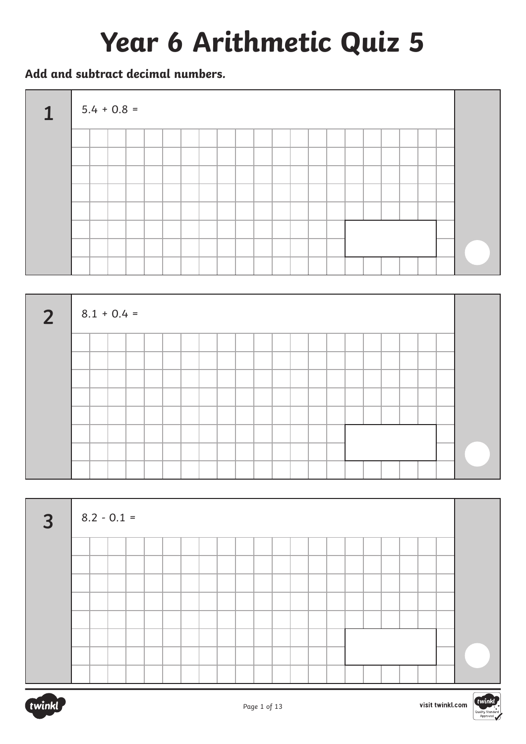# **Year 6 Arithmetic Quiz 5**

**Add and subtract decimal numbers.**





| $\overline{3}$ |  | $8.2 - 0.1 =$ |  |  |  |  |  |  |  |  |  |  |
|----------------|--|---------------|--|--|--|--|--|--|--|--|--|--|
|                |  |               |  |  |  |  |  |  |  |  |  |  |
|                |  |               |  |  |  |  |  |  |  |  |  |  |
|                |  |               |  |  |  |  |  |  |  |  |  |  |
|                |  |               |  |  |  |  |  |  |  |  |  |  |
|                |  |               |  |  |  |  |  |  |  |  |  |  |
|                |  |               |  |  |  |  |  |  |  |  |  |  |
|                |  |               |  |  |  |  |  |  |  |  |  |  |
|                |  |               |  |  |  |  |  |  |  |  |  |  |

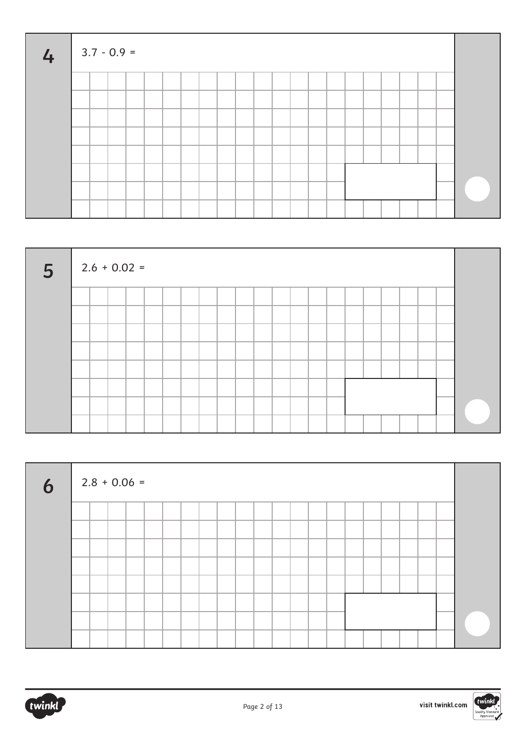| 4 |  | $3.7 - 0.9 =$ |  |  |  |  |  |  |  |  |  |  |
|---|--|---------------|--|--|--|--|--|--|--|--|--|--|
|   |  |               |  |  |  |  |  |  |  |  |  |  |
|   |  |               |  |  |  |  |  |  |  |  |  |  |
|   |  |               |  |  |  |  |  |  |  |  |  |  |
|   |  |               |  |  |  |  |  |  |  |  |  |  |
|   |  |               |  |  |  |  |  |  |  |  |  |  |
|   |  |               |  |  |  |  |  |  |  |  |  |  |
|   |  |               |  |  |  |  |  |  |  |  |  |  |
|   |  |               |  |  |  |  |  |  |  |  |  |  |

| 5 <sup>5</sup> |  | $2.6 + 0.02 =$ |  |  |  |  |  |  |  |  |  |  |
|----------------|--|----------------|--|--|--|--|--|--|--|--|--|--|
|                |  |                |  |  |  |  |  |  |  |  |  |  |
|                |  |                |  |  |  |  |  |  |  |  |  |  |
|                |  |                |  |  |  |  |  |  |  |  |  |  |
|                |  |                |  |  |  |  |  |  |  |  |  |  |
|                |  |                |  |  |  |  |  |  |  |  |  |  |
|                |  |                |  |  |  |  |  |  |  |  |  |  |
|                |  |                |  |  |  |  |  |  |  |  |  |  |
|                |  |                |  |  |  |  |  |  |  |  |  |  |

| $\boldsymbol{6}$ | $2.8 + 0.06 =$ |  |  |  |  |  |  |  |  |  |  |
|------------------|----------------|--|--|--|--|--|--|--|--|--|--|
|                  |                |  |  |  |  |  |  |  |  |  |  |
|                  |                |  |  |  |  |  |  |  |  |  |  |
|                  |                |  |  |  |  |  |  |  |  |  |  |
|                  |                |  |  |  |  |  |  |  |  |  |  |
|                  |                |  |  |  |  |  |  |  |  |  |  |
|                  |                |  |  |  |  |  |  |  |  |  |  |
|                  |                |  |  |  |  |  |  |  |  |  |  |
|                  |                |  |  |  |  |  |  |  |  |  |  |

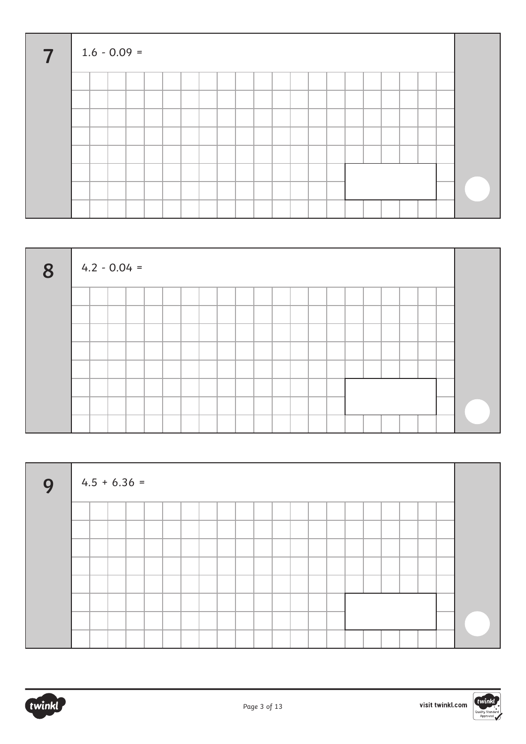| $\overline{7}$ |  | $1.6 - 0.09 =$ |  |  |  |  |  |  |  |  |  |  |
|----------------|--|----------------|--|--|--|--|--|--|--|--|--|--|
|                |  |                |  |  |  |  |  |  |  |  |  |  |
|                |  |                |  |  |  |  |  |  |  |  |  |  |
|                |  |                |  |  |  |  |  |  |  |  |  |  |
|                |  |                |  |  |  |  |  |  |  |  |  |  |
|                |  |                |  |  |  |  |  |  |  |  |  |  |
|                |  |                |  |  |  |  |  |  |  |  |  |  |
|                |  |                |  |  |  |  |  |  |  |  |  |  |
|                |  |                |  |  |  |  |  |  |  |  |  |  |

| 8 |  | $4.2 - 0.04 =$ |  |  |  |  |  |  |  |  |  |
|---|--|----------------|--|--|--|--|--|--|--|--|--|
|   |  |                |  |  |  |  |  |  |  |  |  |
|   |  |                |  |  |  |  |  |  |  |  |  |
|   |  |                |  |  |  |  |  |  |  |  |  |
|   |  |                |  |  |  |  |  |  |  |  |  |
|   |  |                |  |  |  |  |  |  |  |  |  |
|   |  |                |  |  |  |  |  |  |  |  |  |
|   |  |                |  |  |  |  |  |  |  |  |  |
|   |  |                |  |  |  |  |  |  |  |  |  |

| 9 | $4.5 + 6.36 =$ |  |  |  |  |  |  |  |  |  |  |
|---|----------------|--|--|--|--|--|--|--|--|--|--|
|   |                |  |  |  |  |  |  |  |  |  |  |
|   |                |  |  |  |  |  |  |  |  |  |  |
|   |                |  |  |  |  |  |  |  |  |  |  |
|   |                |  |  |  |  |  |  |  |  |  |  |
|   |                |  |  |  |  |  |  |  |  |  |  |
|   |                |  |  |  |  |  |  |  |  |  |  |
|   |                |  |  |  |  |  |  |  |  |  |  |
|   |                |  |  |  |  |  |  |  |  |  |  |



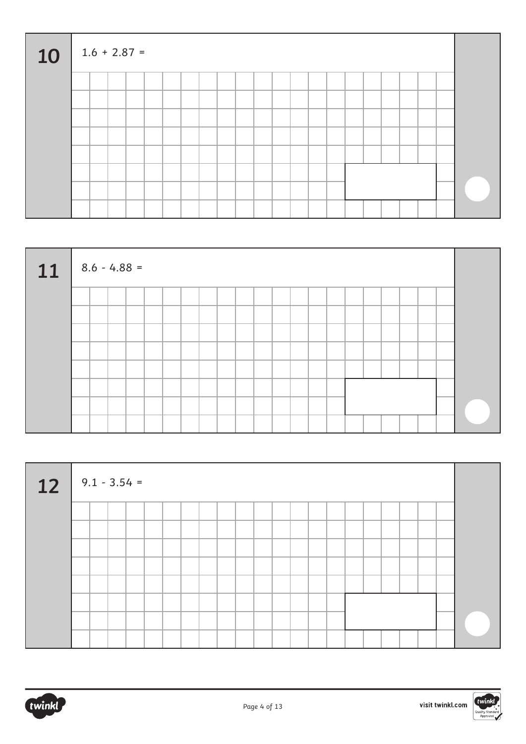| 10 |  | $1.6 + 2.87 =$ |  |  |  |  |  |  |  |  |  |  |
|----|--|----------------|--|--|--|--|--|--|--|--|--|--|
|    |  |                |  |  |  |  |  |  |  |  |  |  |
|    |  |                |  |  |  |  |  |  |  |  |  |  |
|    |  |                |  |  |  |  |  |  |  |  |  |  |
|    |  |                |  |  |  |  |  |  |  |  |  |  |
|    |  |                |  |  |  |  |  |  |  |  |  |  |
|    |  |                |  |  |  |  |  |  |  |  |  |  |
|    |  |                |  |  |  |  |  |  |  |  |  |  |
|    |  |                |  |  |  |  |  |  |  |  |  |  |

| $11$ 8.6 - 4.88 = |  |  |  |  |  |  |  |  |  |  |  |
|-------------------|--|--|--|--|--|--|--|--|--|--|--|
|                   |  |  |  |  |  |  |  |  |  |  |  |
|                   |  |  |  |  |  |  |  |  |  |  |  |
|                   |  |  |  |  |  |  |  |  |  |  |  |
|                   |  |  |  |  |  |  |  |  |  |  |  |
|                   |  |  |  |  |  |  |  |  |  |  |  |
|                   |  |  |  |  |  |  |  |  |  |  |  |
|                   |  |  |  |  |  |  |  |  |  |  |  |
|                   |  |  |  |  |  |  |  |  |  |  |  |

| $12 \t 9.1 - 3.54 =$ |  |  |  |  |  |  |  |  |  |  |  |
|----------------------|--|--|--|--|--|--|--|--|--|--|--|
|                      |  |  |  |  |  |  |  |  |  |  |  |
|                      |  |  |  |  |  |  |  |  |  |  |  |
|                      |  |  |  |  |  |  |  |  |  |  |  |
|                      |  |  |  |  |  |  |  |  |  |  |  |
|                      |  |  |  |  |  |  |  |  |  |  |  |
|                      |  |  |  |  |  |  |  |  |  |  |  |
|                      |  |  |  |  |  |  |  |  |  |  |  |
|                      |  |  |  |  |  |  |  |  |  |  |  |

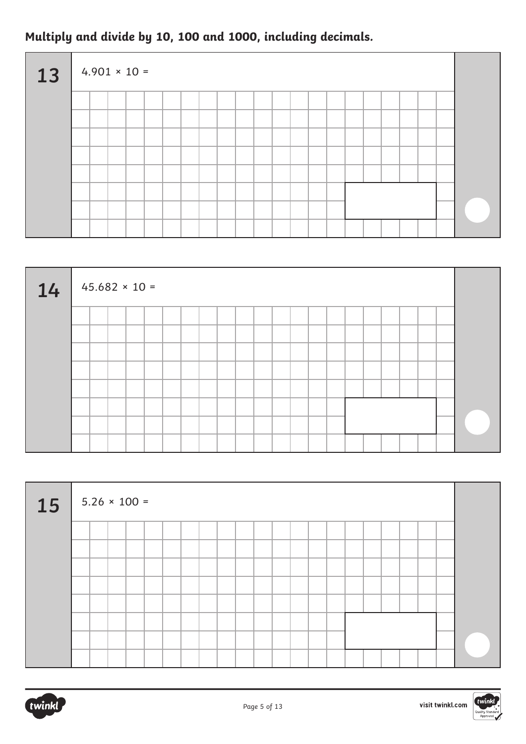## **Multiply and divide by 10, 100 and 1000, including decimals.**

| 13 |  | $4.901 \times 10 =$ |  |  |  |  |  |  |  |  |  |  |
|----|--|---------------------|--|--|--|--|--|--|--|--|--|--|
|    |  |                     |  |  |  |  |  |  |  |  |  |  |
|    |  |                     |  |  |  |  |  |  |  |  |  |  |
|    |  |                     |  |  |  |  |  |  |  |  |  |  |
|    |  |                     |  |  |  |  |  |  |  |  |  |  |
|    |  |                     |  |  |  |  |  |  |  |  |  |  |
|    |  |                     |  |  |  |  |  |  |  |  |  |  |
|    |  |                     |  |  |  |  |  |  |  |  |  |  |
|    |  |                     |  |  |  |  |  |  |  |  |  |  |

| 14 |  | $45.682 \times 10 =$ |  |  |  |  |  |  |  |  |  |  |
|----|--|----------------------|--|--|--|--|--|--|--|--|--|--|
|    |  |                      |  |  |  |  |  |  |  |  |  |  |
|    |  |                      |  |  |  |  |  |  |  |  |  |  |
|    |  |                      |  |  |  |  |  |  |  |  |  |  |
|    |  |                      |  |  |  |  |  |  |  |  |  |  |
|    |  |                      |  |  |  |  |  |  |  |  |  |  |
|    |  |                      |  |  |  |  |  |  |  |  |  |  |
|    |  |                      |  |  |  |  |  |  |  |  |  |  |
|    |  |                      |  |  |  |  |  |  |  |  |  |  |

| <b>15</b> |  | $5.26 \times 100 =$ |  |  |  |  |  |  |  |  |  |  |
|-----------|--|---------------------|--|--|--|--|--|--|--|--|--|--|
|           |  |                     |  |  |  |  |  |  |  |  |  |  |
|           |  |                     |  |  |  |  |  |  |  |  |  |  |
|           |  |                     |  |  |  |  |  |  |  |  |  |  |
|           |  |                     |  |  |  |  |  |  |  |  |  |  |
|           |  |                     |  |  |  |  |  |  |  |  |  |  |
|           |  |                     |  |  |  |  |  |  |  |  |  |  |
|           |  |                     |  |  |  |  |  |  |  |  |  |  |
|           |  |                     |  |  |  |  |  |  |  |  |  |  |

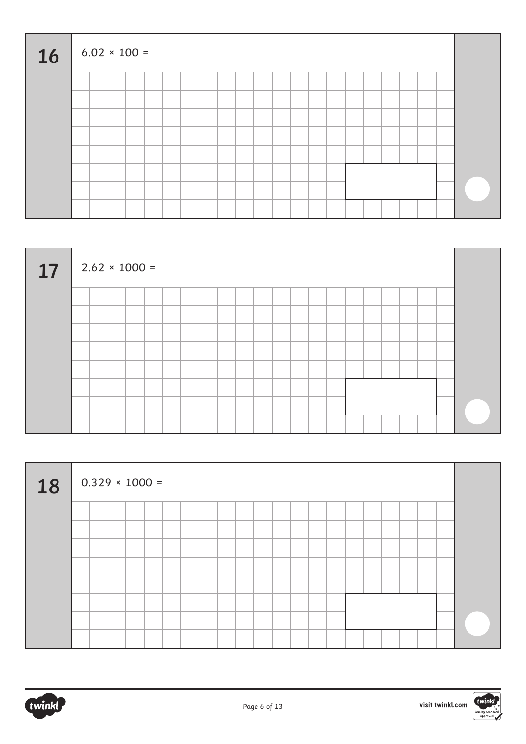| <b>16</b> |  | $6.02 \times 100 =$ |  |  |  |  |  |  |  |  |  |  |
|-----------|--|---------------------|--|--|--|--|--|--|--|--|--|--|
|           |  |                     |  |  |  |  |  |  |  |  |  |  |
|           |  |                     |  |  |  |  |  |  |  |  |  |  |
|           |  |                     |  |  |  |  |  |  |  |  |  |  |
|           |  |                     |  |  |  |  |  |  |  |  |  |  |
|           |  |                     |  |  |  |  |  |  |  |  |  |  |
|           |  |                     |  |  |  |  |  |  |  |  |  |  |
|           |  |                     |  |  |  |  |  |  |  |  |  |  |
|           |  |                     |  |  |  |  |  |  |  |  |  |  |

| 17 | $2.62 \times 1000 =$ |  |  |  |  |  |  |  |  |  |  |
|----|----------------------|--|--|--|--|--|--|--|--|--|--|
|    |                      |  |  |  |  |  |  |  |  |  |  |
|    |                      |  |  |  |  |  |  |  |  |  |  |
|    |                      |  |  |  |  |  |  |  |  |  |  |
|    |                      |  |  |  |  |  |  |  |  |  |  |
|    |                      |  |  |  |  |  |  |  |  |  |  |
|    |                      |  |  |  |  |  |  |  |  |  |  |
|    |                      |  |  |  |  |  |  |  |  |  |  |
|    |                      |  |  |  |  |  |  |  |  |  |  |

| 18 | $0.329 \times 1000 =$ |  |  |  |  |  |  |  |  |  |  |
|----|-----------------------|--|--|--|--|--|--|--|--|--|--|
|    |                       |  |  |  |  |  |  |  |  |  |  |
|    |                       |  |  |  |  |  |  |  |  |  |  |
|    |                       |  |  |  |  |  |  |  |  |  |  |
|    |                       |  |  |  |  |  |  |  |  |  |  |
|    |                       |  |  |  |  |  |  |  |  |  |  |
|    |                       |  |  |  |  |  |  |  |  |  |  |
|    |                       |  |  |  |  |  |  |  |  |  |  |

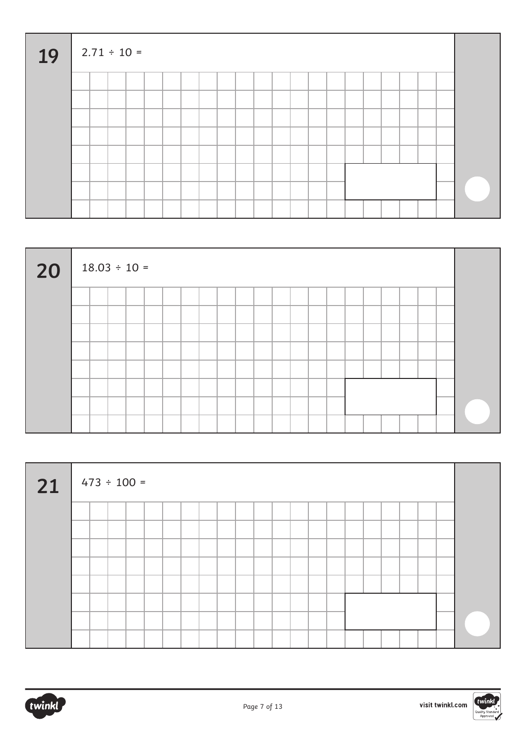| 19 |  | $2.71 \div 10 =$ |  |  |  |  |  |  |  |  |  |  |
|----|--|------------------|--|--|--|--|--|--|--|--|--|--|
|    |  |                  |  |  |  |  |  |  |  |  |  |  |
|    |  |                  |  |  |  |  |  |  |  |  |  |  |
|    |  |                  |  |  |  |  |  |  |  |  |  |  |
|    |  |                  |  |  |  |  |  |  |  |  |  |  |
|    |  |                  |  |  |  |  |  |  |  |  |  |  |
|    |  |                  |  |  |  |  |  |  |  |  |  |  |
|    |  |                  |  |  |  |  |  |  |  |  |  |  |
|    |  |                  |  |  |  |  |  |  |  |  |  |  |

| 20 | $18.03 \div 10 =$ |  |  |  |  |  |  |  |  |  |  |
|----|-------------------|--|--|--|--|--|--|--|--|--|--|
|    |                   |  |  |  |  |  |  |  |  |  |  |
|    |                   |  |  |  |  |  |  |  |  |  |  |
|    |                   |  |  |  |  |  |  |  |  |  |  |
|    |                   |  |  |  |  |  |  |  |  |  |  |
|    |                   |  |  |  |  |  |  |  |  |  |  |
|    |                   |  |  |  |  |  |  |  |  |  |  |
|    |                   |  |  |  |  |  |  |  |  |  |  |
|    |                   |  |  |  |  |  |  |  |  |  |  |

| $21$ 473 ÷ 100 = |  |  |  |  |  |  |  |  |  |  |  |
|------------------|--|--|--|--|--|--|--|--|--|--|--|
|                  |  |  |  |  |  |  |  |  |  |  |  |
|                  |  |  |  |  |  |  |  |  |  |  |  |
|                  |  |  |  |  |  |  |  |  |  |  |  |
|                  |  |  |  |  |  |  |  |  |  |  |  |
|                  |  |  |  |  |  |  |  |  |  |  |  |
|                  |  |  |  |  |  |  |  |  |  |  |  |
|                  |  |  |  |  |  |  |  |  |  |  |  |
|                  |  |  |  |  |  |  |  |  |  |  |  |



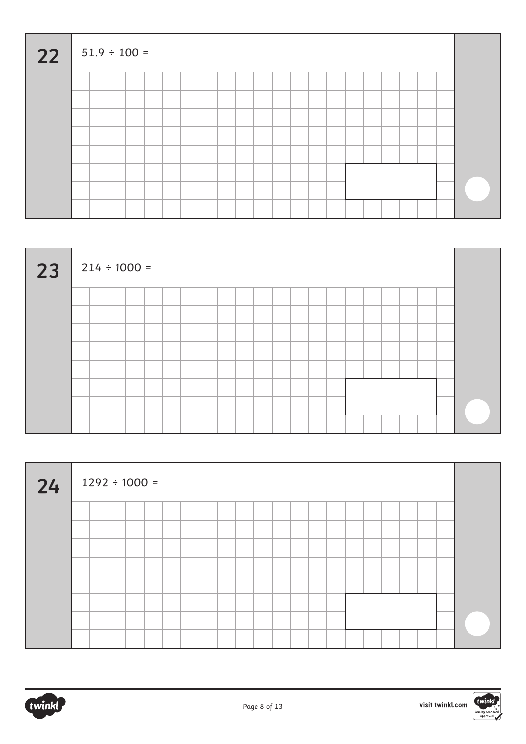| 22 |  | $51.9 \div 100 =$ |  |  |  |  |  |  |  |  |  |  |
|----|--|-------------------|--|--|--|--|--|--|--|--|--|--|
|    |  |                   |  |  |  |  |  |  |  |  |  |  |
|    |  |                   |  |  |  |  |  |  |  |  |  |  |
|    |  |                   |  |  |  |  |  |  |  |  |  |  |
|    |  |                   |  |  |  |  |  |  |  |  |  |  |
|    |  |                   |  |  |  |  |  |  |  |  |  |  |
|    |  |                   |  |  |  |  |  |  |  |  |  |  |
|    |  |                   |  |  |  |  |  |  |  |  |  |  |
|    |  |                   |  |  |  |  |  |  |  |  |  |  |

| 23 | $214 \div 1000 =$ |  |  |  |  |  |  |  |  |  |  |
|----|-------------------|--|--|--|--|--|--|--|--|--|--|
|    |                   |  |  |  |  |  |  |  |  |  |  |
|    |                   |  |  |  |  |  |  |  |  |  |  |
|    |                   |  |  |  |  |  |  |  |  |  |  |
|    |                   |  |  |  |  |  |  |  |  |  |  |
|    |                   |  |  |  |  |  |  |  |  |  |  |
|    |                   |  |  |  |  |  |  |  |  |  |  |
|    |                   |  |  |  |  |  |  |  |  |  |  |
|    |                   |  |  |  |  |  |  |  |  |  |  |

| 24 | $1292 \div 1000 =$ |  |  |  |  |  |  |  |  |  |  |
|----|--------------------|--|--|--|--|--|--|--|--|--|--|
|    |                    |  |  |  |  |  |  |  |  |  |  |
|    |                    |  |  |  |  |  |  |  |  |  |  |
|    |                    |  |  |  |  |  |  |  |  |  |  |
|    |                    |  |  |  |  |  |  |  |  |  |  |
|    |                    |  |  |  |  |  |  |  |  |  |  |
|    |                    |  |  |  |  |  |  |  |  |  |  |
|    |                    |  |  |  |  |  |  |  |  |  |  |
|    |                    |  |  |  |  |  |  |  |  |  |  |



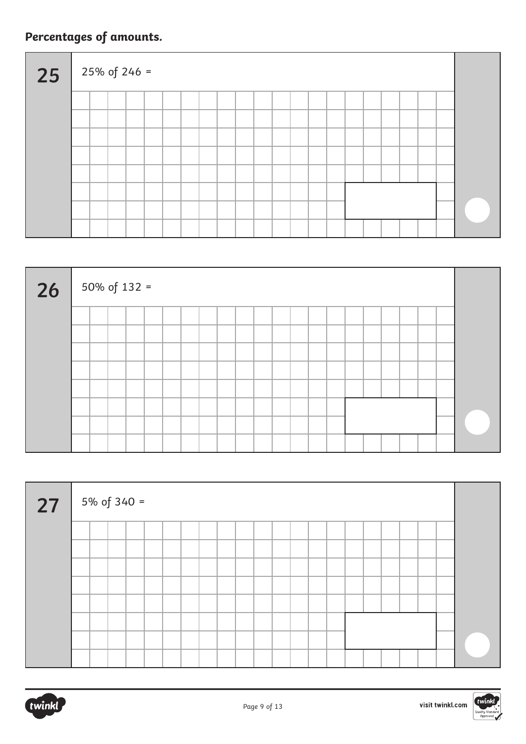## **Percentages of amounts.**

| 25 |  | $25\% \text{ of } 246 =$ |  |  |  |  |  |  |  |  |  |  |
|----|--|--------------------------|--|--|--|--|--|--|--|--|--|--|
|    |  |                          |  |  |  |  |  |  |  |  |  |  |
|    |  |                          |  |  |  |  |  |  |  |  |  |  |
|    |  |                          |  |  |  |  |  |  |  |  |  |  |
|    |  |                          |  |  |  |  |  |  |  |  |  |  |
|    |  |                          |  |  |  |  |  |  |  |  |  |  |
|    |  |                          |  |  |  |  |  |  |  |  |  |  |
|    |  |                          |  |  |  |  |  |  |  |  |  |  |
|    |  |                          |  |  |  |  |  |  |  |  |  |  |

| 26 | 50% of $132 =$ |  |  |  |  |  |  |  |  |  |  |
|----|----------------|--|--|--|--|--|--|--|--|--|--|
|    |                |  |  |  |  |  |  |  |  |  |  |
|    |                |  |  |  |  |  |  |  |  |  |  |
|    |                |  |  |  |  |  |  |  |  |  |  |
|    |                |  |  |  |  |  |  |  |  |  |  |
|    |                |  |  |  |  |  |  |  |  |  |  |
|    |                |  |  |  |  |  |  |  |  |  |  |
|    |                |  |  |  |  |  |  |  |  |  |  |

| 27 | $5\% \text{ of } 340 =$ |  |  |  |  |  |  |  |  |  |  |  |
|----|-------------------------|--|--|--|--|--|--|--|--|--|--|--|
|    |                         |  |  |  |  |  |  |  |  |  |  |  |
|    |                         |  |  |  |  |  |  |  |  |  |  |  |
|    |                         |  |  |  |  |  |  |  |  |  |  |  |
|    |                         |  |  |  |  |  |  |  |  |  |  |  |
|    |                         |  |  |  |  |  |  |  |  |  |  |  |
|    |                         |  |  |  |  |  |  |  |  |  |  |  |
|    |                         |  |  |  |  |  |  |  |  |  |  |  |
|    |                         |  |  |  |  |  |  |  |  |  |  |  |

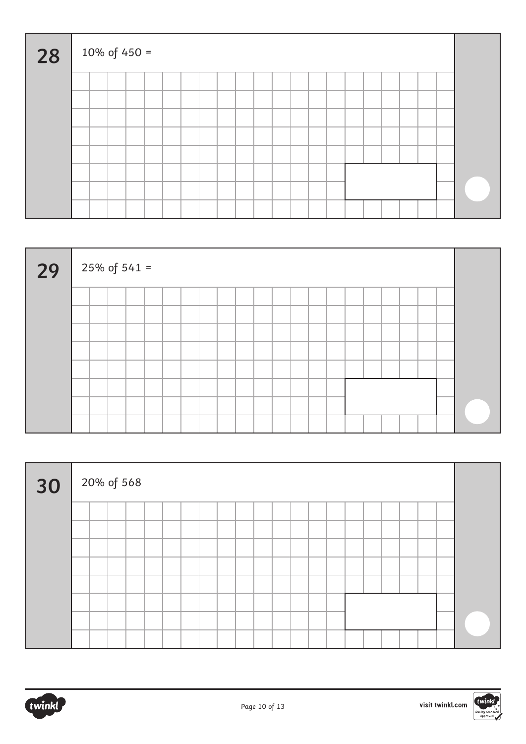| 28 |  | 10% of 450 = |  |  |  |  |  |  |  |  |  |  |
|----|--|--------------|--|--|--|--|--|--|--|--|--|--|
|    |  |              |  |  |  |  |  |  |  |  |  |  |
|    |  |              |  |  |  |  |  |  |  |  |  |  |
|    |  |              |  |  |  |  |  |  |  |  |  |  |
|    |  |              |  |  |  |  |  |  |  |  |  |  |
|    |  |              |  |  |  |  |  |  |  |  |  |  |
|    |  |              |  |  |  |  |  |  |  |  |  |  |
|    |  |              |  |  |  |  |  |  |  |  |  |  |
|    |  |              |  |  |  |  |  |  |  |  |  |  |

| 29 | $25\% \text{ of } 541 =$ |  |  |  |  |  |  |  |  |  |  |
|----|--------------------------|--|--|--|--|--|--|--|--|--|--|
|    |                          |  |  |  |  |  |  |  |  |  |  |
|    |                          |  |  |  |  |  |  |  |  |  |  |
|    |                          |  |  |  |  |  |  |  |  |  |  |
|    |                          |  |  |  |  |  |  |  |  |  |  |
|    |                          |  |  |  |  |  |  |  |  |  |  |
|    |                          |  |  |  |  |  |  |  |  |  |  |
|    |                          |  |  |  |  |  |  |  |  |  |  |
|    |                          |  |  |  |  |  |  |  |  |  |  |

| $30\,$ $^{20\%}$ of 568 |  |  |  |  |  |  |  |  |  |  |  |
|-------------------------|--|--|--|--|--|--|--|--|--|--|--|
|                         |  |  |  |  |  |  |  |  |  |  |  |
|                         |  |  |  |  |  |  |  |  |  |  |  |
|                         |  |  |  |  |  |  |  |  |  |  |  |
|                         |  |  |  |  |  |  |  |  |  |  |  |
|                         |  |  |  |  |  |  |  |  |  |  |  |
|                         |  |  |  |  |  |  |  |  |  |  |  |
|                         |  |  |  |  |  |  |  |  |  |  |  |
|                         |  |  |  |  |  |  |  |  |  |  |  |



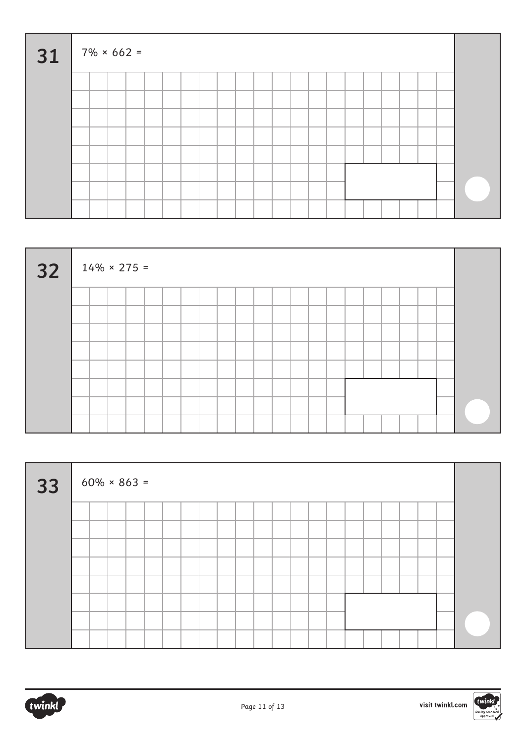| 31 |  | $7\% \times 662 =$ |  |  |  |  |  |  |  |  |  |  |
|----|--|--------------------|--|--|--|--|--|--|--|--|--|--|
|    |  |                    |  |  |  |  |  |  |  |  |  |  |
|    |  |                    |  |  |  |  |  |  |  |  |  |  |
|    |  |                    |  |  |  |  |  |  |  |  |  |  |
|    |  |                    |  |  |  |  |  |  |  |  |  |  |
|    |  |                    |  |  |  |  |  |  |  |  |  |  |
|    |  |                    |  |  |  |  |  |  |  |  |  |  |
|    |  |                    |  |  |  |  |  |  |  |  |  |  |
|    |  |                    |  |  |  |  |  |  |  |  |  |  |

| 32 | $14\% \times 275 =$ |  |  |  |  |  |  |  |  |  |  |
|----|---------------------|--|--|--|--|--|--|--|--|--|--|
|    |                     |  |  |  |  |  |  |  |  |  |  |
|    |                     |  |  |  |  |  |  |  |  |  |  |
|    |                     |  |  |  |  |  |  |  |  |  |  |
|    |                     |  |  |  |  |  |  |  |  |  |  |
|    |                     |  |  |  |  |  |  |  |  |  |  |
|    |                     |  |  |  |  |  |  |  |  |  |  |
|    |                     |  |  |  |  |  |  |  |  |  |  |
|    |                     |  |  |  |  |  |  |  |  |  |  |

| 33 | $60\% \times 863 =$ |  |  |  |  |  |  |  |  |  |  |
|----|---------------------|--|--|--|--|--|--|--|--|--|--|
|    |                     |  |  |  |  |  |  |  |  |  |  |
|    |                     |  |  |  |  |  |  |  |  |  |  |
|    |                     |  |  |  |  |  |  |  |  |  |  |
|    |                     |  |  |  |  |  |  |  |  |  |  |
|    |                     |  |  |  |  |  |  |  |  |  |  |
|    |                     |  |  |  |  |  |  |  |  |  |  |
|    |                     |  |  |  |  |  |  |  |  |  |  |
|    |                     |  |  |  |  |  |  |  |  |  |  |



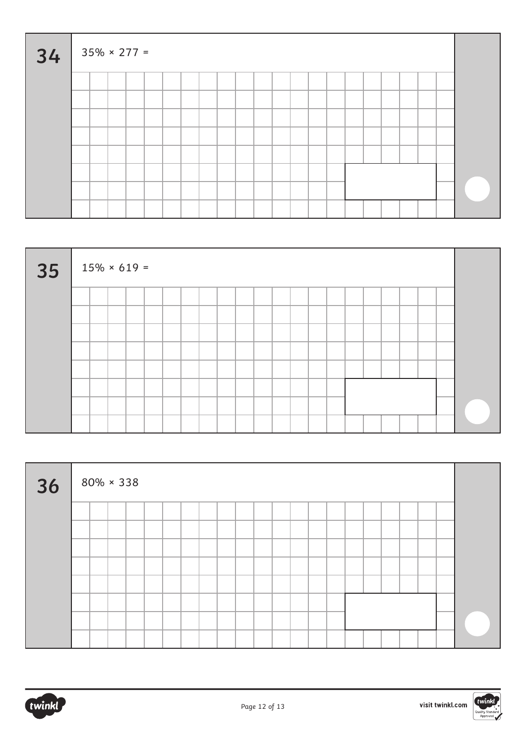| 34 |  | $35\% \times 277 =$ |  |  |  |  |  |  |  |  |  |  |
|----|--|---------------------|--|--|--|--|--|--|--|--|--|--|
|    |  |                     |  |  |  |  |  |  |  |  |  |  |
|    |  |                     |  |  |  |  |  |  |  |  |  |  |
|    |  |                     |  |  |  |  |  |  |  |  |  |  |
|    |  |                     |  |  |  |  |  |  |  |  |  |  |
|    |  |                     |  |  |  |  |  |  |  |  |  |  |
|    |  |                     |  |  |  |  |  |  |  |  |  |  |
|    |  |                     |  |  |  |  |  |  |  |  |  |  |
|    |  |                     |  |  |  |  |  |  |  |  |  |  |

| 35 | $15\% \times 619 =$ |  |  |  |  |  |  |  |  |  |  |
|----|---------------------|--|--|--|--|--|--|--|--|--|--|
|    |                     |  |  |  |  |  |  |  |  |  |  |
|    |                     |  |  |  |  |  |  |  |  |  |  |
|    |                     |  |  |  |  |  |  |  |  |  |  |
|    |                     |  |  |  |  |  |  |  |  |  |  |
|    |                     |  |  |  |  |  |  |  |  |  |  |
|    |                     |  |  |  |  |  |  |  |  |  |  |
|    |                     |  |  |  |  |  |  |  |  |  |  |
|    |                     |  |  |  |  |  |  |  |  |  |  |

| 36 |  | $80\% \times 338$ |  |  |  |  |  |  |  |  |  |
|----|--|-------------------|--|--|--|--|--|--|--|--|--|
|    |  |                   |  |  |  |  |  |  |  |  |  |
|    |  |                   |  |  |  |  |  |  |  |  |  |
|    |  |                   |  |  |  |  |  |  |  |  |  |
|    |  |                   |  |  |  |  |  |  |  |  |  |
|    |  |                   |  |  |  |  |  |  |  |  |  |
|    |  |                   |  |  |  |  |  |  |  |  |  |
|    |  |                   |  |  |  |  |  |  |  |  |  |
|    |  |                   |  |  |  |  |  |  |  |  |  |



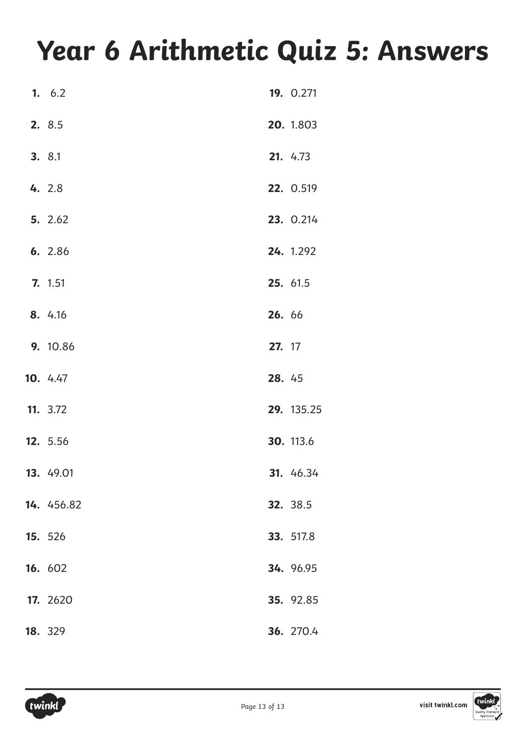# **Year 6 Arithmetic Quiz 5: Answers**

| 1.6.2      |        | 19. 0.271        |
|------------|--------|------------------|
| 2. 8.5     |        | 20. 1.803        |
| 3. 8.1     |        | 21. 4.73         |
| 4. 2.8     |        | 22. 0.519        |
| 5. 2.62    |        | 23. 0.214        |
| 6. 2.86    |        | 24. 1.292        |
| 7. 1.51    |        | 25. 61.5         |
| 8. 4.16    | 26. 66 |                  |
| 9. 10.86   | 27. 17 |                  |
| 10. 4.47   | 28. 45 |                  |
| 11. 3.72   |        | 29. 135.25       |
| 12. 5.56   |        | <b>30.</b> 113.6 |
| 13. 49.01  |        | 31. 46.34        |
| 14. 456.82 |        | 32. 38.5         |
| 15. 526    |        | 33. 517.8        |
| 16. 602    |        | 34. 96.95        |
| 17. 2620   |        | 35. 92.85        |
| 18. 329    |        | 36. 270.4        |

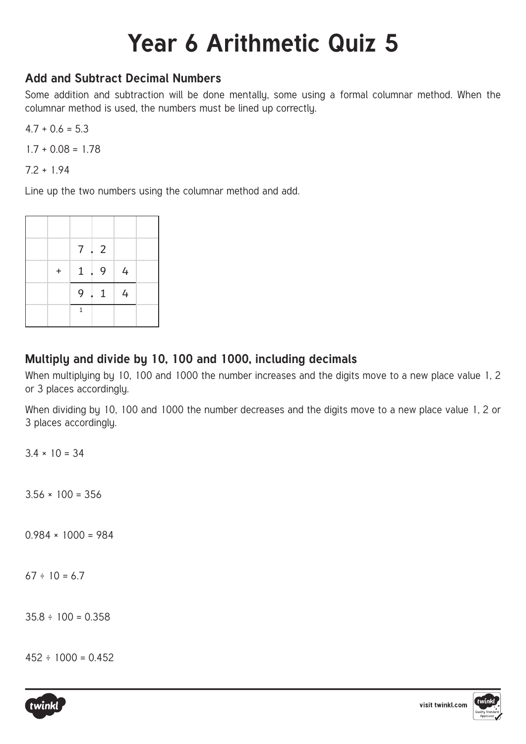## **Year 6 Arithmetic Quiz 5**

### **Add and Subtract Decimal Numbers**

Some addition and subtraction will be done mentally, some using a formal columnar method. When the columnar method is used, the numbers must be lined up correctly.

 $4.7 + 0.6 = 5.3$ 

 $1.7 + 0.08 = 1.78$ 

7.2 + 1.94

Line up the two numbers using the columnar method and add.

|     |              | $7 \cdot 2$ |           |  |
|-----|--------------|-------------|-----------|--|
| $+$ |              | $1 \cdot 9$ | $\vert$ 4 |  |
|     |              | $9 \cdot 1$ |           |  |
|     | $\mathbf{1}$ |             |           |  |

### **Multiply and divide by 10, 100 and 1000, including decimals**

When multiplying by 10, 100 and 1000 the number increases and the digits move to a new place value 1, 2 or 3 places accordingly.

When dividing by 10, 100 and 1000 the number decreases and the digits move to a new place value 1, 2 or 3 places accordingly.

 $3.4 \times 10 = 34$ 

 $3.56 \times 100 = 356$ 

 $0.984 \times 1000 = 984$ 

 $67 \div 10 = 6.7$ 

 $35.8 \div 100 = 0.358$ 

 $452 \div 1000 = 0.452$